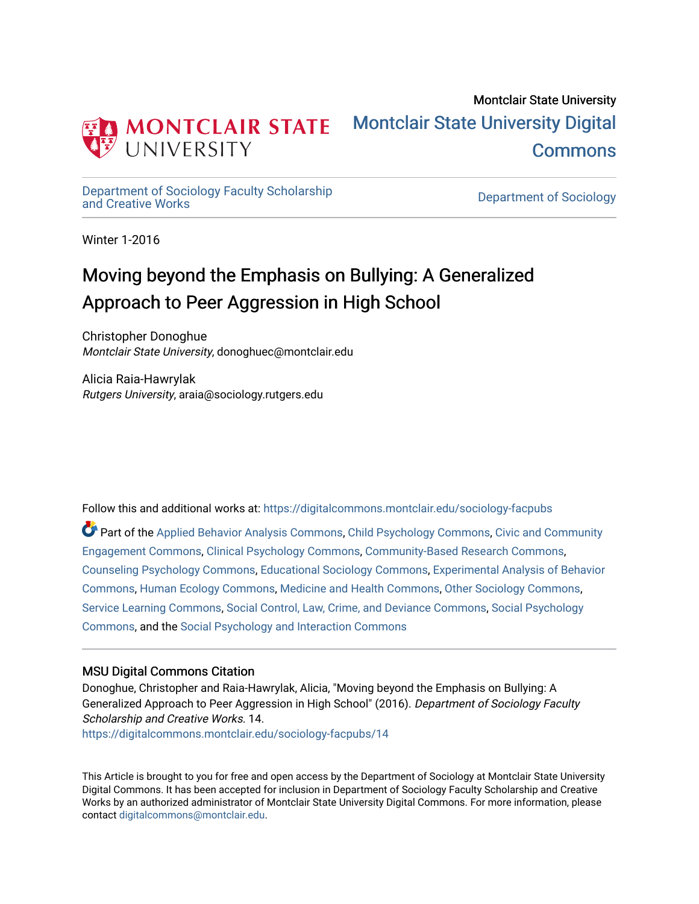

# Montclair State University [Montclair State University Digital](https://digitalcommons.montclair.edu/)  [Commons](https://digitalcommons.montclair.edu/)

[Department of Sociology Faculty Scholarship](https://digitalcommons.montclair.edu/sociology-facpubs)

Department of Sociology

Winter 1-2016

# Moving beyond the Emphasis on Bullying: A Generalized Approach to Peer Aggression in High School

Christopher Donoghue Montclair State University, donoghuec@montclair.edu

Alicia Raia-Hawrylak Rutgers University, araia@sociology.rutgers.edu

Follow this and additional works at: [https://digitalcommons.montclair.edu/sociology-facpubs](https://digitalcommons.montclair.edu/sociology-facpubs?utm_source=digitalcommons.montclair.edu%2Fsociology-facpubs%2F14&utm_medium=PDF&utm_campaign=PDFCoverPages)

Part of the [Applied Behavior Analysis Commons](http://network.bepress.com/hgg/discipline/1235?utm_source=digitalcommons.montclair.edu%2Fsociology-facpubs%2F14&utm_medium=PDF&utm_campaign=PDFCoverPages), [Child Psychology Commons,](http://network.bepress.com/hgg/discipline/1023?utm_source=digitalcommons.montclair.edu%2Fsociology-facpubs%2F14&utm_medium=PDF&utm_campaign=PDFCoverPages) [Civic and Community](http://network.bepress.com/hgg/discipline/1028?utm_source=digitalcommons.montclair.edu%2Fsociology-facpubs%2F14&utm_medium=PDF&utm_campaign=PDFCoverPages) [Engagement Commons,](http://network.bepress.com/hgg/discipline/1028?utm_source=digitalcommons.montclair.edu%2Fsociology-facpubs%2F14&utm_medium=PDF&utm_campaign=PDFCoverPages) [Clinical Psychology Commons,](http://network.bepress.com/hgg/discipline/406?utm_source=digitalcommons.montclair.edu%2Fsociology-facpubs%2F14&utm_medium=PDF&utm_campaign=PDFCoverPages) [Community-Based Research Commons](http://network.bepress.com/hgg/discipline/1047?utm_source=digitalcommons.montclair.edu%2Fsociology-facpubs%2F14&utm_medium=PDF&utm_campaign=PDFCoverPages), [Counseling Psychology Commons,](http://network.bepress.com/hgg/discipline/1044?utm_source=digitalcommons.montclair.edu%2Fsociology-facpubs%2F14&utm_medium=PDF&utm_campaign=PDFCoverPages) [Educational Sociology Commons,](http://network.bepress.com/hgg/discipline/1071?utm_source=digitalcommons.montclair.edu%2Fsociology-facpubs%2F14&utm_medium=PDF&utm_campaign=PDFCoverPages) [Experimental Analysis of Behavior](http://network.bepress.com/hgg/discipline/1236?utm_source=digitalcommons.montclair.edu%2Fsociology-facpubs%2F14&utm_medium=PDF&utm_campaign=PDFCoverPages) [Commons](http://network.bepress.com/hgg/discipline/1236?utm_source=digitalcommons.montclair.edu%2Fsociology-facpubs%2F14&utm_medium=PDF&utm_campaign=PDFCoverPages), [Human Ecology Commons,](http://network.bepress.com/hgg/discipline/1335?utm_source=digitalcommons.montclair.edu%2Fsociology-facpubs%2F14&utm_medium=PDF&utm_campaign=PDFCoverPages) [Medicine and Health Commons](http://network.bepress.com/hgg/discipline/422?utm_source=digitalcommons.montclair.edu%2Fsociology-facpubs%2F14&utm_medium=PDF&utm_campaign=PDFCoverPages), [Other Sociology Commons,](http://network.bepress.com/hgg/discipline/434?utm_source=digitalcommons.montclair.edu%2Fsociology-facpubs%2F14&utm_medium=PDF&utm_campaign=PDFCoverPages) [Service Learning Commons](http://network.bepress.com/hgg/discipline/1024?utm_source=digitalcommons.montclair.edu%2Fsociology-facpubs%2F14&utm_medium=PDF&utm_campaign=PDFCoverPages), [Social Control, Law, Crime, and Deviance Commons](http://network.bepress.com/hgg/discipline/429?utm_source=digitalcommons.montclair.edu%2Fsociology-facpubs%2F14&utm_medium=PDF&utm_campaign=PDFCoverPages), [Social Psychology](http://network.bepress.com/hgg/discipline/414?utm_source=digitalcommons.montclair.edu%2Fsociology-facpubs%2F14&utm_medium=PDF&utm_campaign=PDFCoverPages) [Commons](http://network.bepress.com/hgg/discipline/414?utm_source=digitalcommons.montclair.edu%2Fsociology-facpubs%2F14&utm_medium=PDF&utm_campaign=PDFCoverPages), and the [Social Psychology and Interaction Commons](http://network.bepress.com/hgg/discipline/430?utm_source=digitalcommons.montclair.edu%2Fsociology-facpubs%2F14&utm_medium=PDF&utm_campaign=PDFCoverPages) 

# MSU Digital Commons Citation

Donoghue, Christopher and Raia-Hawrylak, Alicia, "Moving beyond the Emphasis on Bullying: A Generalized Approach to Peer Aggression in High School" (2016). Department of Sociology Faculty Scholarship and Creative Works. 14. [https://digitalcommons.montclair.edu/sociology-facpubs/14](https://digitalcommons.montclair.edu/sociology-facpubs/14?utm_source=digitalcommons.montclair.edu%2Fsociology-facpubs%2F14&utm_medium=PDF&utm_campaign=PDFCoverPages) 

This Article is brought to you for free and open access by the Department of Sociology at Montclair State University Digital Commons. It has been accepted for inclusion in Department of Sociology Faculty Scholarship and Creative Works by an authorized administrator of Montclair State University Digital Commons. For more information, please contact [digitalcommons@montclair.edu](mailto:digitalcommons@montclair.edu).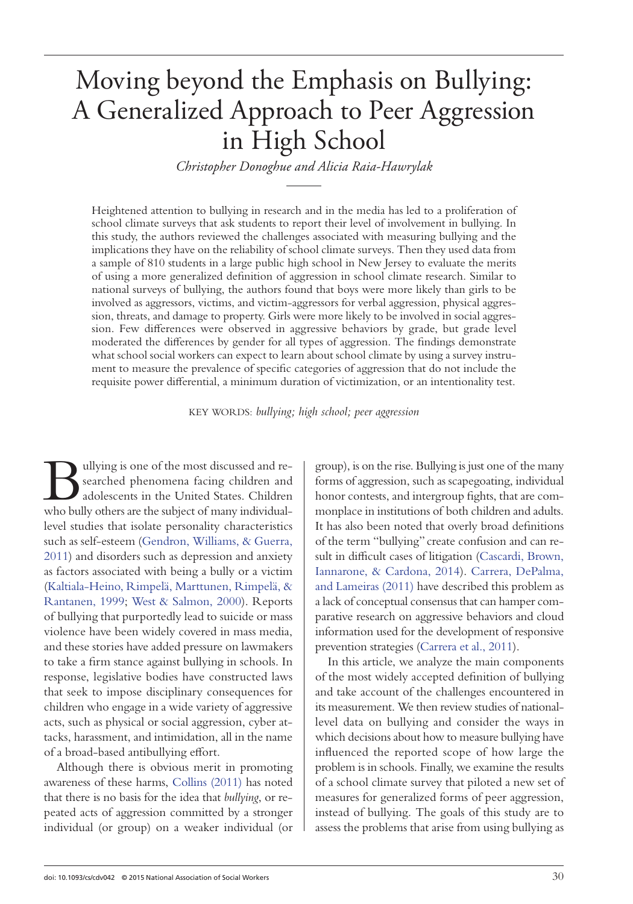# Moving beyond the Emphasis on Bullying: A Generalized Approach to Peer Aggression in High School

*Christopher Donoghue and Alicia Raia-Hawrylak*

Heightened attention to bullying in research and in the media has led to a proliferation of school climate surveys that ask students to report their level of involvement in bullying. In this study, the authors reviewed the challenges associated with measuring bullying and the implications they have on the reliability of school climate surveys. Then they used data from a sample of 810 students in a large public high school in New Jersey to evaluate the merits of using a more generalized definition of aggression in school climate research. Similar to national surveys of bullying, the authors found that boys were more likely than girls to be involved as aggressors, victims, and victim-aggressors for verbal aggression, physical aggression, threats, and damage to property. Girls were more likely to be involved in social aggression. Few differences were observed in aggressive behaviors by grade, but grade level moderated the differences by gender for all types of aggression. The findings demonstrate what school social workers can expect to learn about school climate by using a survey instrument to measure the prevalence of specific categories of aggression that do not include the requisite power differential, a minimum duration of victimization, or an intentionality test.

KEY WORDS: *bullying; high school; peer aggression*

Bullying is one of the most discussed and researched phenomena facing children and adolescents in the United States. Children who bully others are the subject of many individuallevel studies that isolate personality characteristics such as self-esteem (Gendron, Williams, & Guerra, 2011) and disorders such as depression and anxiety as factors associated with being a bully or a victim (Kaltiala-Heino, Rimpelä, Marttunen, Rimpelä, & Rantanen, 1999; West & Salmon, 2000). Reports of bullying that purportedly lead to suicide or mass violence have been widely covered in mass media, and these stories have added pressure on lawmakers to take a firm stance against bullying in schools. In response, legislative bodies have constructed laws that seek to impose disciplinary consequences for children who engage in a wide variety of aggressive acts, such as physical or social aggression, cyber attacks, harassment, and intimidation, all in the name of a broad-based antibullying effort.

Although there is obvious merit in promoting awareness of these harms, Collins (2011) has noted that there is no basis for the idea that *bullying*, or repeated acts of aggression committed by a stronger individual (or group) on a weaker individual (or group), is on the rise. Bullying is just one of the many forms of aggression, such as scapegoating, individual honor contests, and intergroup fights, that are commonplace in institutions of both children and adults. It has also been noted that overly broad definitions of the term "bullying" create confusion and can result in difficult cases of litigation (Cascardi, Brown, Iannarone, & Cardona, 2014). Carrera, DePalma, and Lameiras (2011) have described this problem as a lack of conceptual consensus that can hamper comparative research on aggressive behaviors and cloud information used for the development of responsive prevention strategies (Carrera et al., 2011).

In this article, we analyze the main components of the most widely accepted definition of bullying and take account of the challenges encountered in its measurement. We then review studies of nationallevel data on bullying and consider the ways in which decisions about how to measure bullying have influenced the reported scope of how large the problem is in schools. Finally, we examine the results of a school climate survey that piloted a new set of measures for generalized forms of peer aggression, instead of bullying. The goals of this study are to assess the problems that arise from using bullying as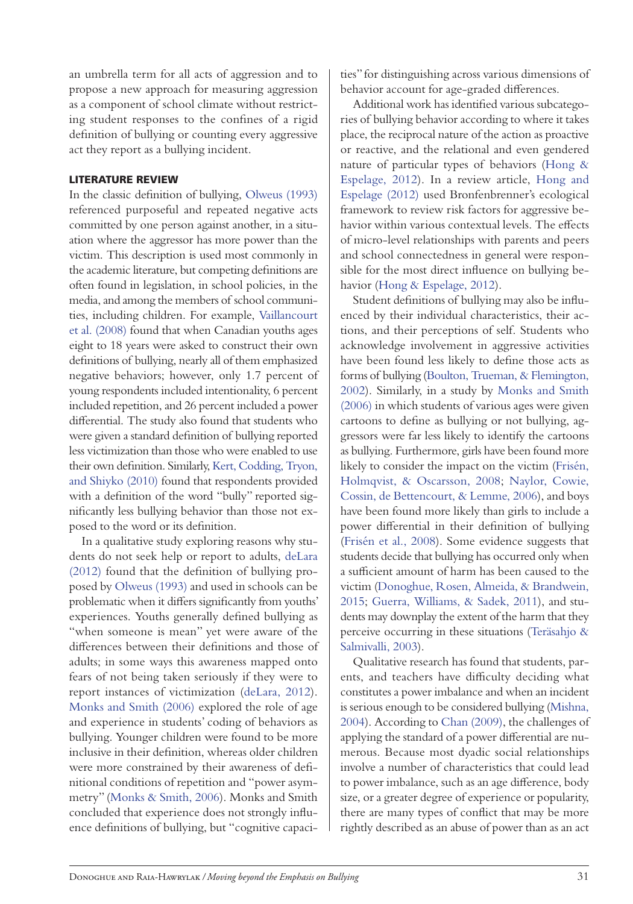an umbrella term for all acts of aggression and to propose a new approach for measuring aggression as a component of school climate without restricting student responses to the confines of a rigid definition of bullying or counting every aggressive act they report as a bullying incident.

# LITERATURE REVIEW

In the classic definition of bullying, Olweus (1993) referenced purposeful and repeated negative acts committed by one person against another, in a situation where the aggressor has more power than the victim. This description is used most commonly in the academic literature, but competing definitions are often found in legislation, in school policies, in the media, and among the members of school communities, including children. For example, Vaillancourt et al. (2008) found that when Canadian youths ages eight to 18 years were asked to construct their own definitions of bullying, nearly all of them emphasized negative behaviors; however, only 1.7 percent of young respondents included intentionality, 6 percent included repetition, and 26 percent included a power differential. The study also found that students who were given a standard definition of bullying reported less victimization than those who were enabled to use their own definition. Similarly, Kert, Codding, Tryon, and Shiyko (2010) found that respondents provided with a definition of the word "bully" reported significantly less bullying behavior than those not exposed to the word or its definition.

In a qualitative study exploring reasons why students do not seek help or report to adults, deLara (2012) found that the definition of bullying proposed by Olweus (1993) and used in schools can be problematic when it differs significantly from youths' experiences. Youths generally defined bullying as "when someone is mean" yet were aware of the differences between their definitions and those of adults; in some ways this awareness mapped onto fears of not being taken seriously if they were to report instances of victimization (deLara, 2012). Monks and Smith (2006) explored the role of age and experience in students' coding of behaviors as bullying. Younger children were found to be more inclusive in their definition, whereas older children were more constrained by their awareness of definitional conditions of repetition and "power asymmetry" (Monks & Smith, 2006). Monks and Smith concluded that experience does not strongly influence definitions of bullying, but "cognitive capacities" for distinguishing across various dimensions of behavior account for age-graded differences.

Additional work has identified various subcategories of bullying behavior according to where it takes place, the reciprocal nature of the action as proactive or reactive, and the relational and even gendered nature of particular types of behaviors (Hong & Espelage, 2012). In a review article, Hong and Espelage (2012) used Bronfenbrenner's ecological framework to review risk factors for aggressive behavior within various contextual levels. The effects of micro-level relationships with parents and peers and school connectedness in general were responsible for the most direct influence on bullying behavior (Hong & Espelage, 2012).

Student definitions of bullying may also be influenced by their individual characteristics, their actions, and their perceptions of self. Students who acknowledge involvement in aggressive activities have been found less likely to define those acts as forms of bullying (Boulton, Trueman, & Flemington, 2002). Similarly, in a study by Monks and Smith (2006) in which students of various ages were given cartoons to define as bullying or not bullying, aggressors were far less likely to identify the cartoons as bullying. Furthermore, girls have been found more likely to consider the impact on the victim (Frisén, Holmqvist, & Oscarsson, 2008; Naylor, Cowie, Cossin, de Bettencourt, & Lemme, 2006), and boys have been found more likely than girls to include a power differential in their definition of bullying (Frisén et al., 2008). Some evidence suggests that students decide that bullying has occurred only when a sufficient amount of harm has been caused to the victim (Donoghue, Rosen, Almeida, & Brandwein, 2015; Guerra, Williams, & Sadek, 2011), and students may downplay the extent of the harm that they perceive occurring in these situations (Teräsahjo & Salmivalli, 2003).

Qualitative research has found that students, parents, and teachers have difficulty deciding what constitutes a power imbalance and when an incident is serious enough to be considered bullying (Mishna, 2004). According to Chan (2009), the challenges of applying the standard of a power differential are numerous. Because most dyadic social relationships involve a number of characteristics that could lead to power imbalance, such as an age difference, body size, or a greater degree of experience or popularity, there are many types of conflict that may be more rightly described as an abuse of power than as an act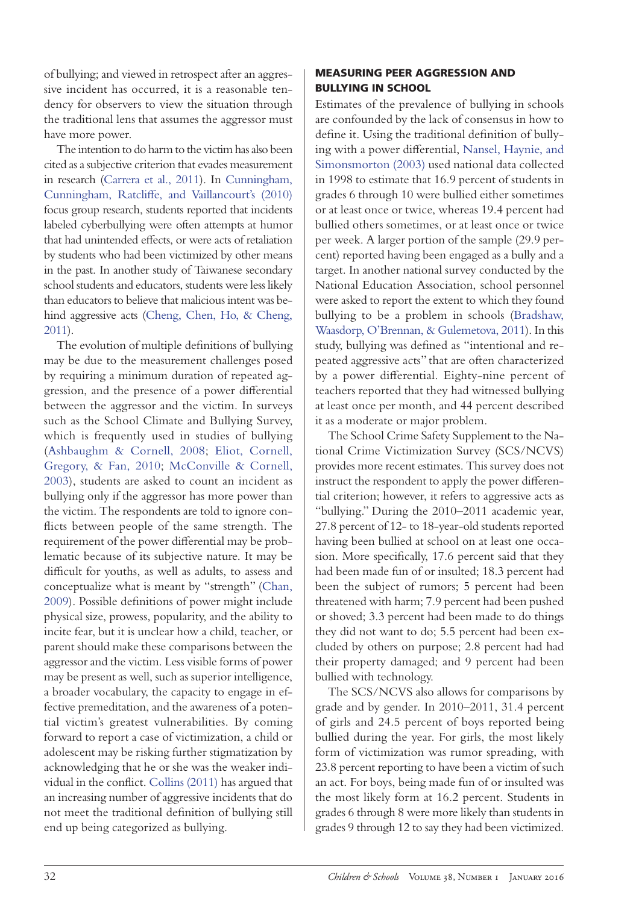of bullying; and viewed in retrospect after an aggressive incident has occurred, it is a reasonable tendency for observers to view the situation through the traditional lens that assumes the aggressor must have more power.

The intention to do harm to the victim has also been cited as a subjective criterion that evades measurement in research (Carrera et al., 2011). In Cunningham, Cunningham, Ratcliffe, and Vaillancourt's (2010) focus group research, students reported that incidents labeled cyberbullying were often attempts at humor that had unintended effects, or were acts of retaliation by students who had been victimized by other means in the past. In another study of Taiwanese secondary school students and educators, students were less likely than educators to believe that malicious intent was behind aggressive acts (Cheng, Chen, Ho, & Cheng, 2011).

The evolution of multiple definitions of bullying may be due to the measurement challenges posed by requiring a minimum duration of repeated aggression, and the presence of a power differential between the aggressor and the victim. In surveys such as the School Climate and Bullying Survey, which is frequently used in studies of bullying (Ashbaughm & Cornell, 2008; Eliot, Cornell, Gregory, & Fan, 2010; McConville & Cornell, 2003), students are asked to count an incident as bullying only if the aggressor has more power than the victim. The respondents are told to ignore conflicts between people of the same strength. The requirement of the power differential may be problematic because of its subjective nature. It may be difficult for youths, as well as adults, to assess and conceptualize what is meant by "strength" (Chan, 2009). Possible definitions of power might include physical size, prowess, popularity, and the ability to incite fear, but it is unclear how a child, teacher, or parent should make these comparisons between the aggressor and the victim. Less visible forms of power may be present as well, such as superior intelligence, a broader vocabulary, the capacity to engage in effective premeditation, and the awareness of a potential victim's greatest vulnerabilities. By coming forward to report a case of victimization, a child or adolescent may be risking further stigmatization by acknowledging that he or she was the weaker individual in the conflict. Collins (2011) has argued that an increasing number of aggressive incidents that do not meet the traditional definition of bullying still end up being categorized as bullying.

# MEASURING PEER AGGRESSION AND BULLYING IN SCHOOL

Estimates of the prevalence of bullying in schools are confounded by the lack of consensus in how to define it. Using the traditional definition of bullying with a power differential, Nansel, Haynie, and Simonsmorton (2003) used national data collected in 1998 to estimate that 16.9 percent of students in grades 6 through 10 were bullied either sometimes or at least once or twice, whereas 19.4 percent had bullied others sometimes, or at least once or twice per week. A larger portion of the sample (29.9 percent) reported having been engaged as a bully and a target. In another national survey conducted by the National Education Association, school personnel were asked to report the extent to which they found bullying to be a problem in schools (Bradshaw, Waasdorp, O'Brennan, & Gulemetova, 2011). In this study, bullying was defined as "intentional and repeated aggressive acts" that are often characterized by a power differential. Eighty-nine percent of teachers reported that they had witnessed bullying at least once per month, and 44 percent described it as a moderate or major problem.

The School Crime Safety Supplement to the National Crime Victimization Survey (SCS/NCVS) provides more recent estimates. This survey does not instruct the respondent to apply the power differential criterion; however, it refers to aggressive acts as "bullying." During the 2010–2011 academic year, 27.8 percent of 12- to 18-year-old students reported having been bullied at school on at least one occasion. More specifically, 17.6 percent said that they had been made fun of or insulted; 18.3 percent had been the subject of rumors; 5 percent had been threatened with harm; 7.9 percent had been pushed or shoved; 3.3 percent had been made to do things they did not want to do; 5.5 percent had been excluded by others on purpose; 2.8 percent had had their property damaged; and 9 percent had been bullied with technology.

The SCS/NCVS also allows for comparisons by grade and by gender. In 2010–2011, 31.4 percent of girls and 24.5 percent of boys reported being bullied during the year. For girls, the most likely form of victimization was rumor spreading, with 23.8 percent reporting to have been a victim of such an act. For boys, being made fun of or insulted was the most likely form at 16.2 percent. Students in grades 6 through 8 were more likely than students in grades 9 through 12 to say they had been victimized.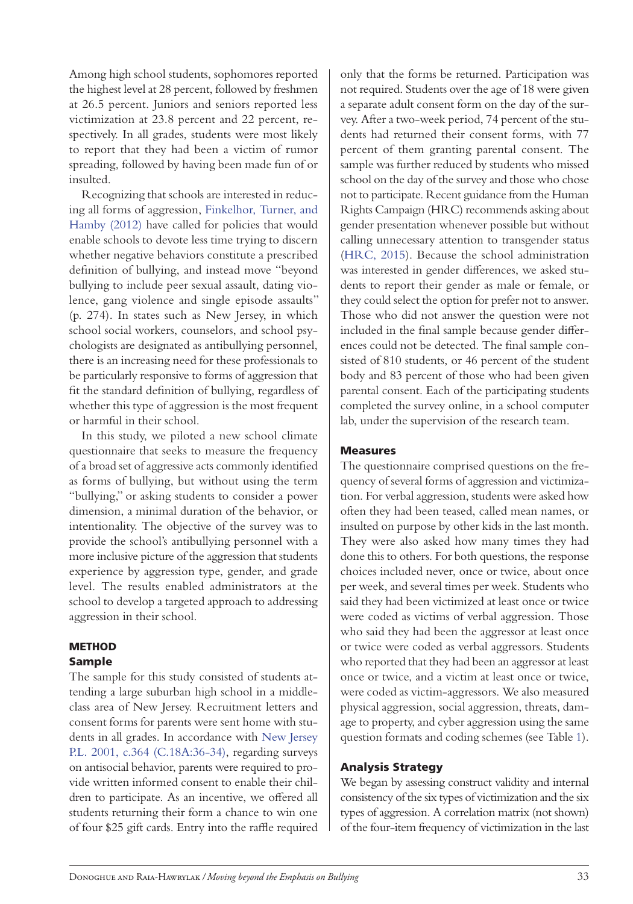Among high school students, sophomores reported the highest level at 28 percent, followed by freshmen at 26.5 percent. Juniors and seniors reported less victimization at 23.8 percent and 22 percent, respectively. In all grades, students were most likely to report that they had been a victim of rumor spreading, followed by having been made fun of or insulted.

Recognizing that schools are interested in reducing all forms of aggression, Finkelhor, Turner, and Hamby (2012) have called for policies that would enable schools to devote less time trying to discern whether negative behaviors constitute a prescribed definition of bullying, and instead move "beyond bullying to include peer sexual assault, dating violence, gang violence and single episode assaults" (p. 274). In states such as New Jersey, in which school social workers, counselors, and school psychologists are designated as antibullying personnel, there is an increasing need for these professionals to be particularly responsive to forms of aggression that fit the standard definition of bullying, regardless of whether this type of aggression is the most frequent or harmful in their school.

In this study, we piloted a new school climate questionnaire that seeks to measure the frequency of a broad set of aggressive acts commonly identified as forms of bullying, but without using the term "bullying," or asking students to consider a power dimension, a minimal duration of the behavior, or intentionality. The objective of the survey was to provide the school's antibullying personnel with a more inclusive picture of the aggression that students experience by aggression type, gender, and grade level. The results enabled administrators at the school to develop a targeted approach to addressing aggression in their school.

#### **METHOD** Sample

The sample for this study consisted of students attending a large suburban high school in a middleclass area of New Jersey. Recruitment letters and consent forms for parents were sent home with students in all grades. In accordance with New Jersey P.L. 2001, c.364 (C.18A:36-34), regarding surveys on antisocial behavior, parents were required to provide written informed consent to enable their children to participate. As an incentive, we offered all students returning their form a chance to win one of four \$25 gift cards. Entry into the raffle required only that the forms be returned. Participation was not required. Students over the age of 18 were given a separate adult consent form on the day of the survey. After a two-week period, 74 percent of the students had returned their consent forms, with 77 percent of them granting parental consent. The sample was further reduced by students who missed school on the day of the survey and those who chose not to participate. Recent guidance from the Human Rights Campaign (HRC) recommends asking about gender presentation whenever possible but without calling unnecessary attention to transgender status (HRC, 2015). Because the school administration was interested in gender differences, we asked students to report their gender as male or female, or they could select the option for prefer not to answer. Those who did not answer the question were not included in the final sample because gender differences could not be detected. The final sample consisted of 810 students, or 46 percent of the student body and 83 percent of those who had been given parental consent. Each of the participating students completed the survey online, in a school computer lab, under the supervision of the research team.

# Measures

The questionnaire comprised questions on the frequency of several forms of aggression and victimization. For verbal aggression, students were asked how often they had been teased, called mean names, or insulted on purpose by other kids in the last month. They were also asked how many times they had done this to others. For both questions, the response choices included never, once or twice, about once per week, and several times per week. Students who said they had been victimized at least once or twice were coded as victims of verbal aggression. Those who said they had been the aggressor at least once or twice were coded as verbal aggressors. Students who reported that they had been an aggressor at least once or twice, and a victim at least once or twice, were coded as victim-aggressors. We also measured physical aggression, social aggression, threats, damage to property, and cyber aggression using the same question formats and coding schemes (see Table 1).

# Analysis Strategy

We began by assessing construct validity and internal consistency of the six types of victimization and the six types of aggression. A correlation matrix (not shown) of the four-item frequency of victimization in the last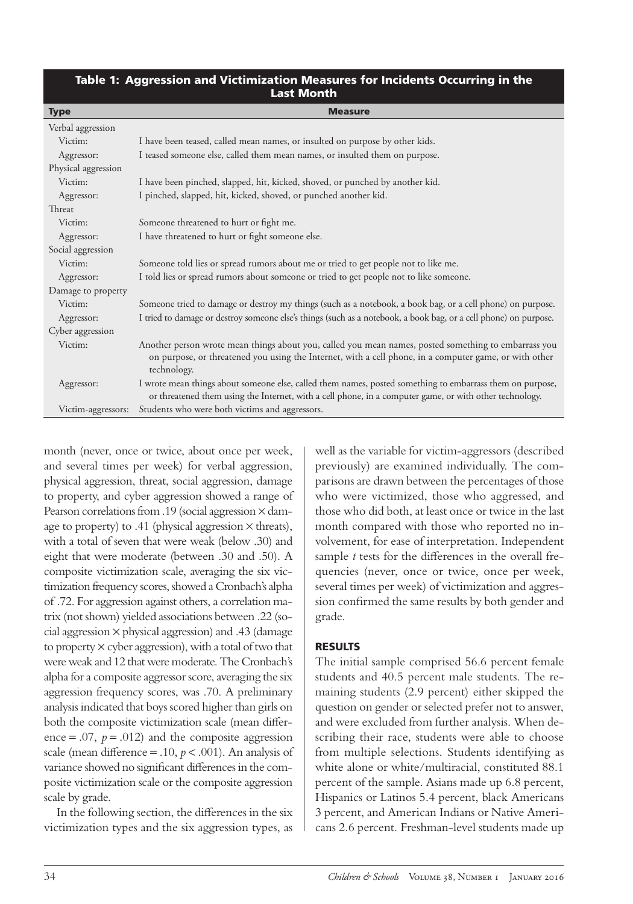#### Table 1: Aggression and Victimization Measures for Incidents Occurring in the Last Month

| <b>Type</b>         | <b>Measure</b>                                                                                                                                                                                                                |
|---------------------|-------------------------------------------------------------------------------------------------------------------------------------------------------------------------------------------------------------------------------|
| Verbal aggression   |                                                                                                                                                                                                                               |
| Victim:             | I have been teased, called mean names, or insulted on purpose by other kids.                                                                                                                                                  |
| Aggressor:          | I teased someone else, called them mean names, or insulted them on purpose.                                                                                                                                                   |
| Physical aggression |                                                                                                                                                                                                                               |
| Victim:             | I have been pinched, slapped, hit, kicked, shoved, or punched by another kid.                                                                                                                                                 |
| Aggressor:          | I pinched, slapped, hit, kicked, shoved, or punched another kid.                                                                                                                                                              |
| Threat              |                                                                                                                                                                                                                               |
| Victim:             | Someone threatened to hurt or fight me.                                                                                                                                                                                       |
| Aggressor:          | I have threatened to hurt or fight someone else.                                                                                                                                                                              |
| Social aggression   |                                                                                                                                                                                                                               |
| Victim:             | Someone told lies or spread rumors about me or tried to get people not to like me.                                                                                                                                            |
| Aggressor:          | I told lies or spread rumors about someone or tried to get people not to like someone.                                                                                                                                        |
| Damage to property  |                                                                                                                                                                                                                               |
| Victim:             | Someone tried to damage or destroy my things (such as a notebook, a book bag, or a cell phone) on purpose.                                                                                                                    |
| Aggressor:          | I tried to damage or destroy someone else's things (such as a notebook, a book bag, or a cell phone) on purpose.                                                                                                              |
| Cyber aggression    |                                                                                                                                                                                                                               |
| Victim:             | Another person wrote mean things about you, called you mean names, posted something to embarrass you<br>on purpose, or threatened you using the Internet, with a cell phone, in a computer game, or with other<br>technology. |
| Aggressor:          | I wrote mean things about someone else, called them names, posted something to embarrass them on purpose,<br>or threatened them using the Internet, with a cell phone, in a computer game, or with other technology.          |
| Victim-aggressors:  | Students who were both victims and aggressors.                                                                                                                                                                                |

month (never, once or twice, about once per week, and several times per week) for verbal aggression, physical aggression, threat, social aggression, damage to property, and cyber aggression showed a range of Pearson correlations from .19 (social aggression  $\times$  damage to property) to .41 (physical aggression  $\times$  threats), with a total of seven that were weak (below .30) and eight that were moderate (between .30 and .50). A composite victimization scale, averaging the six victimization frequency scores, showed a Cronbach's alpha of .72. For aggression against others, a correlation matrix (not shown) yielded associations between .22 (social aggression  $\times$  physical aggression) and .43 (damage to property × cyber aggression), with a total of two that were weak and 12 that were moderate. The Cronbach's alpha for a composite aggressor score, averaging the six aggression frequency scores, was .70. A preliminary analysis indicated that boys scored higher than girls on both the composite victimization scale (mean difference  $= .07$ ,  $p = .012$ ) and the composite aggression scale (mean difference  $=$  .10,  $p < .001$ ). An analysis of variance showed no significant differences in the composite victimization scale or the composite aggression scale by grade.

In the following section, the differences in the six victimization types and the six aggression types, as well as the variable for victim-aggressors (described previously) are examined individually. The comparisons are drawn between the percentages of those who were victimized, those who aggressed, and those who did both, at least once or twice in the last month compared with those who reported no involvement, for ease of interpretation. Independent sample *t* tests for the differences in the overall frequencies (never, once or twice, once per week, several times per week) of victimization and aggression confirmed the same results by both gender and grade.

# RESULTS

The initial sample comprised 56.6 percent female students and 40.5 percent male students. The remaining students (2.9 percent) either skipped the question on gender or selected prefer not to answer, and were excluded from further analysis. When describing their race, students were able to choose from multiple selections. Students identifying as white alone or white/multiracial, constituted 88.1 percent of the sample. Asians made up 6.8 percent, Hispanics or Latinos 5.4 percent, black Americans 3 percent, and American Indians or Native Americans 2.6 percent. Freshman-level students made up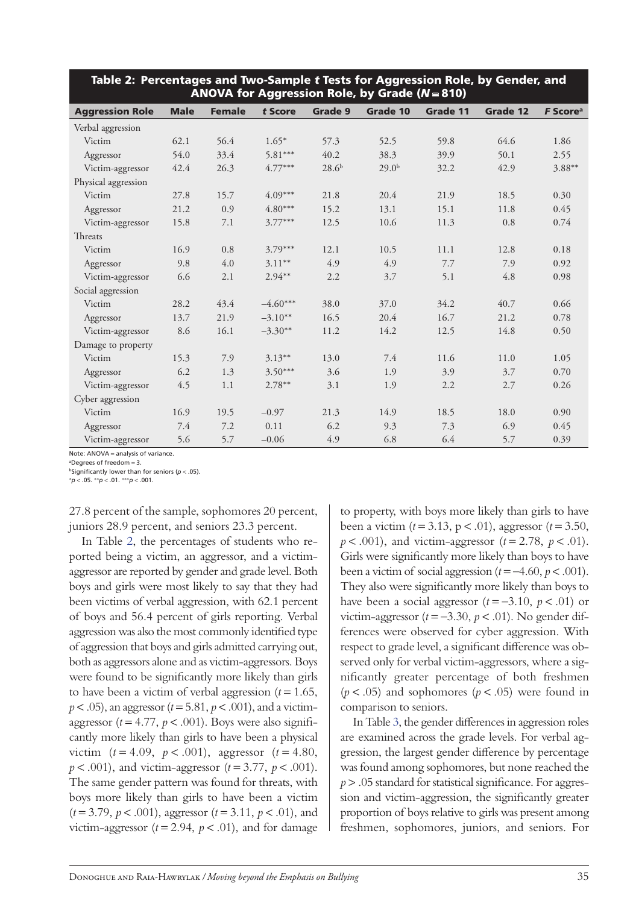| <b>Aggression Role</b> | <b>Male</b> | <b>Female</b> | t Score    | Grade 9           | Grade 10          | Grade 11 | Grade 12 | <b>F</b> Score <sup>a</sup> |
|------------------------|-------------|---------------|------------|-------------------|-------------------|----------|----------|-----------------------------|
| Verbal aggression      |             |               |            |                   |                   |          |          |                             |
| Victim                 | 62.1        | 56.4          | $1.65*$    | 57.3              | 52.5              | 59.8     | 64.6     | 1.86                        |
| Aggressor              | 54.0        | 33.4          | $5.81***$  | 40.2              | 38.3              | 39.9     | 50.1     | 2.55                        |
| Victim-aggressor       | 42.4        | 26.3          | $4.77***$  | 28.6 <sup>b</sup> | 29.0 <sup>b</sup> | 32.2     | 42.9     | $3.88**$                    |
| Physical aggression    |             |               |            |                   |                   |          |          |                             |
| Victim                 | 27.8        | 15.7          | $4.09***$  | 21.8              | 20.4              | 21.9     | 18.5     | 0.30                        |
| Aggressor              | 21.2        | 0.9           | $4.80***$  | 15.2              | 13.1              | 15.1     | 11.8     | 0.45                        |
| Victim-aggressor       | 15.8        | 7.1           | $3.77***$  | 12.5              | 10.6              | 11.3     | 0.8      | 0.74                        |
| Threats                |             |               |            |                   |                   |          |          |                             |
| Victim                 | 16.9        | $0.8\,$       | $3.79***$  | 12.1              | 10.5              | 11.1     | 12.8     | 0.18                        |
| Aggressor              | 9.8         | 4.0           | $3.11***$  | 4.9               | 4.9               | 7.7      | 7.9      | 0.92                        |
| Victim-aggressor       | 6.6         | 2.1           | $2.94**$   | 2.2               | 3.7               | 5.1      | 4.8      | 0.98                        |
| Social aggression      |             |               |            |                   |                   |          |          |                             |
| Victim                 | 28.2        | 43.4          | $-4.60***$ | 38.0              | 37.0              | 34.2     | 40.7     | 0.66                        |
| Aggressor              | 13.7        | 21.9          | $-3.10**$  | 16.5              | 20.4              | 16.7     | 21.2     | 0.78                        |
| Victim-aggressor       | 8.6         | 16.1          | $-3.30**$  | 11.2              | 14.2              | 12.5     | 14.8     | 0.50                        |
| Damage to property     |             |               |            |                   |                   |          |          |                             |
| Victim                 | 15.3        | 7.9           | $3.13***$  | 13.0              | 7.4               | 11.6     | 11.0     | 1.05                        |
| Aggressor              | 6.2         | 1.3           | $3.50***$  | 3.6               | 1.9               | 3.9      | 3.7      | 0.70                        |
| Victim-aggressor       | 4.5         | 1.1           | $2.78***$  | 3.1               | 1.9               | 2.2      | 2.7      | 0.26                        |
| Cyber aggression       |             |               |            |                   |                   |          |          |                             |
| Victim                 | 16.9        | 19.5          | $-0.97$    | 21.3              | 14.9              | 18.5     | 18.0     | 0.90                        |
| Aggressor              | 7.4         | 7.2           | 0.11       | 6.2               | 9.3               | 7.3      | 6.9      | 0.45                        |
| Victim-aggressor       | 5.6         | 5.7           | $-0.06$    | 4.9               | 6.8               | 6.4      | 5.7      | 0.39                        |

#### Table 2: Percentages and Two-Sample *t* Tests for Aggression Role, by Gender, and ANOVA for Aggression Role, by Grade (*N* = 810)

Note: ANOVA = analysis of variance.

aDegrees of freedom = 3.

bSignificantly lower than for seniors (*p* < .05). \**p* < .05. \*\**p* < .01. \*\*\**p* < .001.

27.8 percent of the sample, sophomores 20 percent, juniors 28.9 percent, and seniors 23.3 percent.

In Table 2, the percentages of students who reported being a victim, an aggressor, and a victimaggressor are reported by gender and grade level. Both boys and girls were most likely to say that they had been victims of verbal aggression, with 62.1 percent of boys and 56.4 percent of girls reporting. Verbal aggression was also the most commonly identified type of aggression that boys and girls admitted carrying out, both as aggressors alone and as victim-aggressors. Boys were found to be significantly more likely than girls to have been a victim of verbal aggression  $(t = 1.65$ , *p* < .05), an aggressor (*t* = 5.81, *p* < .001), and a victimaggressor ( $t = 4.77$ ,  $p < .001$ ). Boys were also significantly more likely than girls to have been a physical victim  $(t = 4.09, p < .001)$ , aggressor  $(t = 4.80,$ *p* < .001), and victim-aggressor (*t* = 3.77, *p* < .001). The same gender pattern was found for threats, with boys more likely than girls to have been a victim (*t* = 3.79, *p* < .001), aggressor (*t* = 3.11, *p* < .01), and victim-aggressor  $(t=2.94, p<.01)$ , and for damage

to property, with boys more likely than girls to have been a victim  $(t = 3.13, p < .01)$ , aggressor  $(t = 3.50,$  $p < .001$ ), and victim-aggressor ( $t = 2.78$ ,  $p < .01$ ). Girls were significantly more likely than boys to have been a victim of social aggression  $(t = -4.60, p < .001)$ . They also were significantly more likely than boys to have been a social aggressor  $(t = -3.10, p < .01)$  or victim-aggressor  $(t = -3.30, p < .01)$ . No gender differences were observed for cyber aggression. With respect to grade level, a significant difference was observed only for verbal victim-aggressors, where a significantly greater percentage of both freshmen  $(p < .05)$  and sophomores  $(p < .05)$  were found in comparison to seniors.

In Table 3, the gender differences in aggression roles are examined across the grade levels. For verbal aggression, the largest gender difference by percentage was found among sophomores, but none reached the *p* > .05 standard for statistical significance. For aggression and victim-aggression, the significantly greater proportion of boys relative to girls was present among freshmen, sophomores, juniors, and seniors. For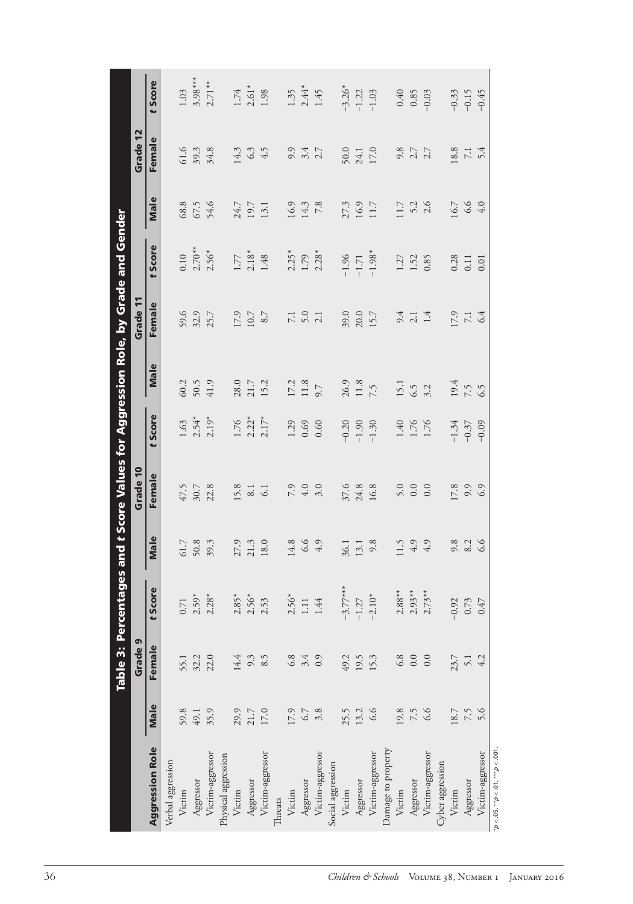|                                             |      | Table 3: P |                     |             | ercentages and t Score Values for Aggression Role, by Grade and Gender |         |                          |                  |           |             |                  |           |
|---------------------------------------------|------|------------|---------------------|-------------|------------------------------------------------------------------------|---------|--------------------------|------------------|-----------|-------------|------------------|-----------|
|                                             |      | Grade 9    |                     |             | Grade 10                                                               |         |                          | Grade 11         |           |             | Grade 12         |           |
| <b>Aggression Role</b>                      | Male | Female     | t Score             | <b>Male</b> | Female                                                                 | t Score | <b>Male</b>              | Female           | t Score   | <b>Male</b> | Female           | t Score   |
| Verbal aggression                           |      |            |                     |             |                                                                        |         |                          |                  |           |             |                  |           |
| Victim                                      | 59.8 | 55.1       | 0.71                | 61.7        | 47.5                                                                   | 1.63    | 60.2                     | 59.6             | 0.10      | 68.8        | 61.6             | 1.03      |
| Aggressor                                   | 49.1 | 32.2       | $2.59*$             | 50.8        | $30.7$<br>$22.8$                                                       | $2.54*$ | 50.5<br>41.9             | 32.9<br>25.7     | $2.70***$ | 67.5        | 39.3             | $3.98***$ |
| Victim-aggressor                            | 35.9 | 22.0       | $2.28*$             | 39.3        |                                                                        | $2.19*$ |                          |                  | $2.56*$   | 54.6        | 34.8             | $2.71***$ |
| Physical aggression                         |      |            |                     |             |                                                                        |         |                          |                  |           |             |                  |           |
| Victim                                      | 29.9 | 14.4       | $2.85*$             | 27.9        | 15.8                                                                   | 1.76    | 28.0                     | 17.9             | 1.77      | 24.7        | 14.3             | 1.74      |
| Aggressor                                   | 21.7 | 9.3        | $2.56*$             | 21.3        | 8.1                                                                    | $2.22*$ | 21.7                     | $10.7\,$         | $2.18*$   | 19.7        | 6.3              | $2.61*$   |
| Victim-aggressor                            | 17.0 | 8.5        | 2.53                | 18.0        | 61                                                                     | $2.17*$ | 15.2                     | 8.7              | 1.48      | 13.1        | 4.5              | 1.98      |
| Threats                                     |      |            |                     |             |                                                                        |         |                          |                  |           |             |                  |           |
| Victim                                      | 17.9 | 6.8        | $2.56*$             | 14.8        |                                                                        | 1.29    |                          | 7.1              | $2.25*$   | 16.9        | 9.9              | 1.35      |
| Aggressor                                   | 6.7  | 3.4        | 1.11                | 6.6         | $7.9$<br>4.0                                                           | 0.69    | 17.2<br>11.8<br>9.7      | 5.0              | 1.79      | 14.3        | 3.4              | $2.44*$   |
| Victim-aggressor                            | 3.8  | 0.9        | 1.44                | 4.9         | 3.0                                                                    | 0.60    |                          | 2.1              | $2.28*$   | $7.8\,$     | 2.7              | 1.45      |
| Social aggression                           |      |            |                     |             |                                                                        |         |                          |                  |           |             |                  |           |
| Victim                                      | 25.5 | 49.2       | $-3.77***$          | 36.1        |                                                                        | $-0.20$ | 26.9                     | 39.0             | $-1.96$   | 27.3        | 50.0             | $-3.26*$  |
| Aggressor                                   | 13.2 | 19.5       | $-1.27$<br>$-2.10*$ | 13.1        | 37.6<br>24.8                                                           | $-1.90$ | 11.8                     | 20.0             | $-1.71$   | 16.9        | 24.1             | $-1.22$   |
| Victim-aggressor                            | 6.6  | 15.3       |                     | 9.8         | 16.8                                                                   | $-1.30$ |                          | 15.7             | $-1.98*$  | 11.7        | 17.0             | $-1.03$   |
| Damage to property                          |      |            |                     |             |                                                                        |         |                          |                  |           |             |                  |           |
| Victim                                      | 19.8 | $6.8\,$    | $2.88***$           | 11.5        | 5.0                                                                    | $1.40$  |                          | 9.4              | 1.27      | 11.7        | 9.8              | 0.40      |
| Aggressor                                   | 7.5  | 0.0        | $2.93**$            | $4.9$       | 0.0                                                                    | 1.76    | $15.1$<br>$6.5$<br>$3.2$ | 2.1              | 1.52      | 5.2<br>2.6  | $2.7$<br>$2.7$   | 0.85      |
| Victim-aggressor                            | 6.6  | 0.0        | $2.73**$            | 4.9         | 0.0                                                                    |         |                          | 1.4              | 0.85      |             |                  | $-0.03$   |
| Cyber aggression                            |      |            |                     |             |                                                                        |         |                          |                  |           |             |                  |           |
| Victim                                      | 18.7 | 23.7       | $-0.92$             | 9.8         | 17.8                                                                   | $-1.34$ | 19.4                     | 17.9             | 0.28      | 16.7        | 18.8             | $-0.33$   |
| Aggressor                                   | 7.5  | 5.1        | 0.73                | 8.2         | 9.9                                                                    | $-0.37$ | 7.5                      | $\overline{7.1}$ | $0.11\,$  | 6.6         | $\overline{7.1}$ | $-0.15$   |
| Victim-aggressor                            | 5.6  | 4.2        | 0.47                | 6.6         | 6.9                                                                    | $-0.09$ |                          | 6.4              | 0.01      | 4.0         | 5.4              | $-0.45$   |
| $p < 05$ , $^{*+}p < 01$ , $^{*+}p < 001$ . |      |            |                     |             |                                                                        |         |                          |                  |           |             |                  |           |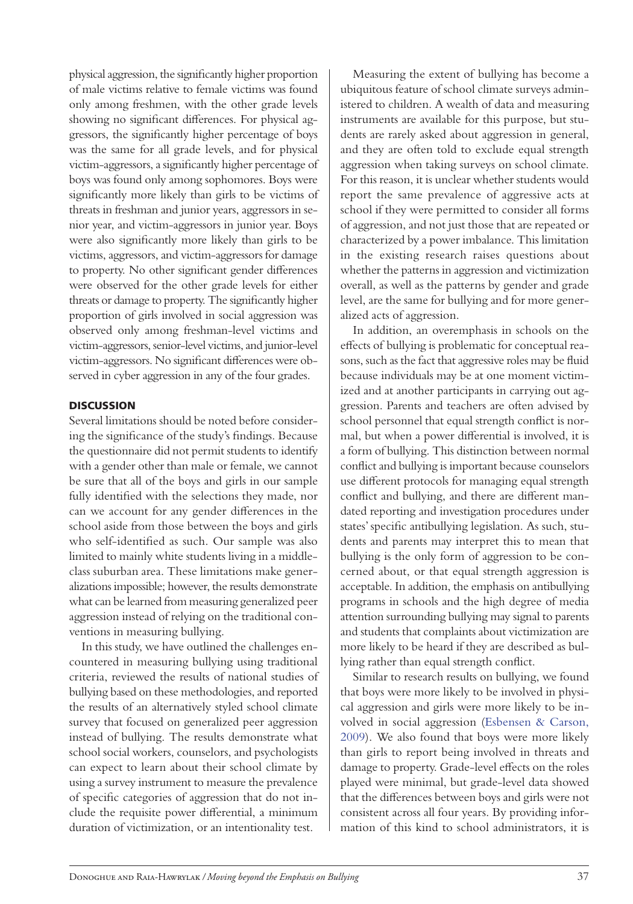physical aggression, the significantly higher proportion of male victims relative to female victims was found only among freshmen, with the other grade levels showing no significant differences. For physical aggressors, the significantly higher percentage of boys was the same for all grade levels, and for physical victim-aggressors, a significantly higher percentage of boys was found only among sophomores. Boys were significantly more likely than girls to be victims of threats in freshman and junior years, aggressors in senior year, and victim-aggressors in junior year. Boys were also significantly more likely than girls to be victims, aggressors, and victim-aggressors for damage to property. No other significant gender differences were observed for the other grade levels for either threats or damage to property. The significantly higher proportion of girls involved in social aggression was observed only among freshman-level victims and victim-aggressors, senior-level victims, and junior-level victim-aggressors. No significant differences were observed in cyber aggression in any of the four grades.

## **DISCUSSION**

Several limitations should be noted before considering the significance of the study's findings. Because the questionnaire did not permit students to identify with a gender other than male or female, we cannot be sure that all of the boys and girls in our sample fully identified with the selections they made, nor can we account for any gender differences in the school aside from those between the boys and girls who self-identified as such. Our sample was also limited to mainly white students living in a middleclass suburban area. These limitations make generalizations impossible; however, the results demonstrate what can be learned from measuring generalized peer aggression instead of relying on the traditional conventions in measuring bullying.

In this study, we have outlined the challenges encountered in measuring bullying using traditional criteria, reviewed the results of national studies of bullying based on these methodologies, and reported the results of an alternatively styled school climate survey that focused on generalized peer aggression instead of bullying. The results demonstrate what school social workers, counselors, and psychologists can expect to learn about their school climate by using a survey instrument to measure the prevalence of specific categories of aggression that do not include the requisite power differential, a minimum duration of victimization, or an intentionality test.

Measuring the extent of bullying has become a ubiquitous feature of school climate surveys administered to children. A wealth of data and measuring instruments are available for this purpose, but students are rarely asked about aggression in general, and they are often told to exclude equal strength aggression when taking surveys on school climate. For this reason, it is unclear whether students would report the same prevalence of aggressive acts at school if they were permitted to consider all forms of aggression, and not just those that are repeated or characterized by a power imbalance. This limitation in the existing research raises questions about whether the patterns in aggression and victimization overall, as well as the patterns by gender and grade level, are the same for bullying and for more generalized acts of aggression.

In addition, an overemphasis in schools on the effects of bullying is problematic for conceptual reasons, such as the fact that aggressive roles may be fluid because individuals may be at one moment victimized and at another participants in carrying out aggression. Parents and teachers are often advised by school personnel that equal strength conflict is normal, but when a power differential is involved, it is a form of bullying. This distinction between normal conflict and bullying is important because counselors use different protocols for managing equal strength conflict and bullying, and there are different mandated reporting and investigation procedures under states' specific antibullying legislation. As such, students and parents may interpret this to mean that bullying is the only form of aggression to be concerned about, or that equal strength aggression is acceptable. In addition, the emphasis on antibullying programs in schools and the high degree of media attention surrounding bullying may signal to parents and students that complaints about victimization are more likely to be heard if they are described as bullying rather than equal strength conflict.

Similar to research results on bullying, we found that boys were more likely to be involved in physical aggression and girls were more likely to be involved in social aggression (Esbensen & Carson, 2009). We also found that boys were more likely than girls to report being involved in threats and damage to property. Grade-level effects on the roles played were minimal, but grade-level data showed that the differences between boys and girls were not consistent across all four years. By providing information of this kind to school administrators, it is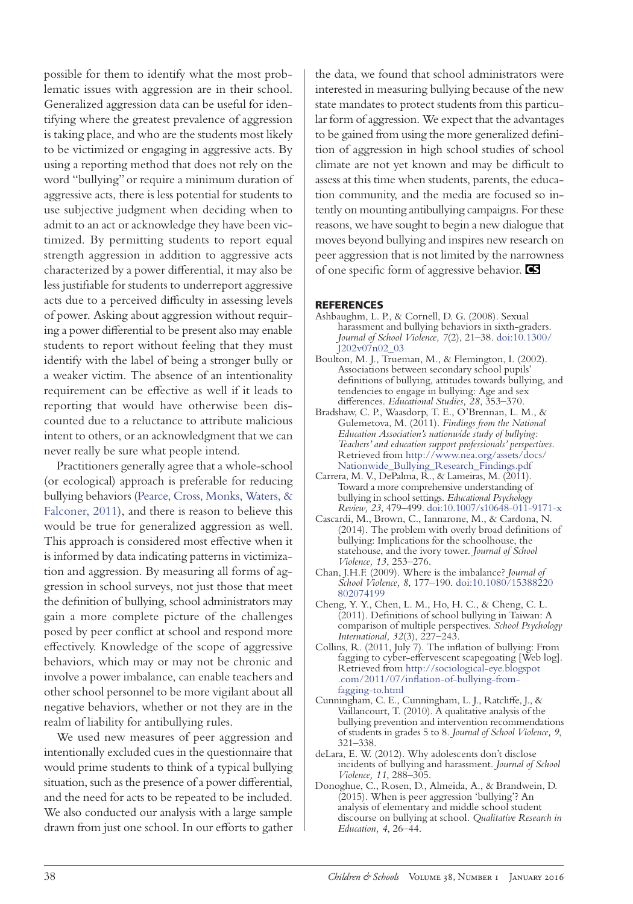possible for them to identify what the most problematic issues with aggression are in their school. Generalized aggression data can be useful for identifying where the greatest prevalence of aggression is taking place, and who are the students most likely to be victimized or engaging in aggressive acts. By using a reporting method that does not rely on the word "bullying" or require a minimum duration of aggressive acts, there is less potential for students to use subjective judgment when deciding when to admit to an act or acknowledge they have been victimized. By permitting students to report equal strength aggression in addition to aggressive acts characterized by a power differential, it may also be less justifiable for students to underreport aggressive acts due to a perceived difficulty in assessing levels of power. Asking about aggression without requiring a power differential to be present also may enable students to report without feeling that they must identify with the label of being a stronger bully or a weaker victim. The absence of an intentionality requirement can be effective as well if it leads to reporting that would have otherwise been discounted due to a reluctance to attribute malicious intent to others, or an acknowledgment that we can never really be sure what people intend.

Practitioners generally agree that a whole-school (or ecological) approach is preferable for reducing bullying behaviors (Pearce, Cross, Monks, Waters, & Falconer, 2011), and there is reason to believe this would be true for generalized aggression as well. This approach is considered most effective when it is informed by data indicating patterns in victimization and aggression. By measuring all forms of aggression in school surveys, not just those that meet the definition of bullying, school administrators may gain a more complete picture of the challenges posed by peer conflict at school and respond more effectively. Knowledge of the scope of aggressive behaviors, which may or may not be chronic and involve a power imbalance, can enable teachers and other school personnel to be more vigilant about all negative behaviors, whether or not they are in the realm of liability for antibullying rules.

We used new measures of peer aggression and intentionally excluded cues in the questionnaire that would prime students to think of a typical bullying situation, such as the presence of a power differential, and the need for acts to be repeated to be included. We also conducted our analysis with a large sample drawn from just one school. In our efforts to gather the data, we found that school administrators were interested in measuring bullying because of the new state mandates to protect students from this particular form of aggression. We expect that the advantages to be gained from using the more generalized definition of aggression in high school studies of school climate are not yet known and may be difficult to assess at this time when students, parents, the education community, and the media are focused so intently on mounting antibullying campaigns. For these reasons, we have sought to begin a new dialogue that moves beyond bullying and inspires new research on peer aggression that is not limited by the narrowness of one specific form of aggressive behavior.

### **REFERENCES**

- Ashbaughm, L. P., & Cornell, D. G. (2008). Sexual harassment and bullying behaviors in sixth-graders. *Journal of School Violence, 7*(2), 21–38. [doi:10.1300/](http://dx.doi.org/10.1300/J202v07n02_03) [J202v07n02\\_03](http://dx.doi.org/10.1300/J202v07n02_03)
- Boulton, M. J., Trueman, M., & Flemington, I. (2002). Associations between secondary school pupils' definitions of bullying, attitudes towards bullying, and tendencies to engage in bullying: Age and sex differences. *Educational Studies, 28*, 353–370.
- Bradshaw, C. P., Waasdorp, T. E., O'Brennan, L. M., & Gulemetova, M. (2011). *Findings from the National Education Association's nationwide study of bullying: Teachers' and education support professionals' perspectives*. Retrieved from [http://www.nea.org/assets/docs/](http://www.nea.org/assets/docs/Nationwide_Bullying_Research_Findings.pdf) [Nationwide\\_Bullying\\_Research\\_Findings.pdf](http://www.nea.org/assets/docs/Nationwide_Bullying_Research_Findings.pdf)
- Carrera, M. V., DePalma, R., & Lameiras, M. (2011). Toward a more comprehensive understanding of bullying in school settings. *Educational Psychology Review, 23*, 479–499. [doi:10.1007/s10648-011-9171-x](http://dx.doi.org/10.1007/s10648-011-9171-x)
- Cascardi, M., Brown, C., Iannarone, M., & Cardona, N. (2014). The problem with overly broad definitions of bullying: Implications for the schoolhouse, the statehouse, and the ivory tower. *Journal of School Violence, 13*, 253–276.
- Chan, J.H.F. (2009). Where is the imbalance? *Journal of School Violence, 8*, 177–190. [doi:10.1080/15388220](http://dx.doi.org/10.1080/15388220802074199) [802074199](http://dx.doi.org/10.1080/15388220802074199)
- Cheng, Y. Y., Chen, L. M., Ho, H. C., & Cheng, C. L. (2011). Definitions of school bullying in Taiwan: A comparison of multiple perspectives. *School Psychology International, 32*(3), 227–243.
- Collins, R. (2011, July 7). The inflation of bullying: From fagging to cyber-effervescent scapegoating [Web log]. Retrieved from [http://sociological-eye.blogspot](http://sociological-eye.blogspot.com/2011/07/inflation-of-bullying-from-fagging-to.html) [.com/2011/07/inflation-of-bullying-from](http://sociological-eye.blogspot.com/2011/07/inflation-of-bullying-from-fagging-to.html)[fagging-to.html](http://sociological-eye.blogspot.com/2011/07/inflation-of-bullying-from-fagging-to.html)
- Cunningham, C. E., Cunningham, L. J., Ratcliffe, J., & Vaillancourt, T. (2010). A qualitative analysis of the bullying prevention and intervention recommendations of students in grades 5 to 8. *Journal of School Violence, 9*, 321–338.
- deLara, E. W. (2012). Why adolescents don't disclose incidents of bullying and harassment. *Journal of School Violence, 11*, 288–305.
- Donoghue, C., Rosen, D., Almeida, A., & Brandwein, D. (2015). When is peer aggression 'bullying'? An analysis of elementary and middle school student discourse on bullying at school. *Qualitative Research in Education, 4*, 26–44.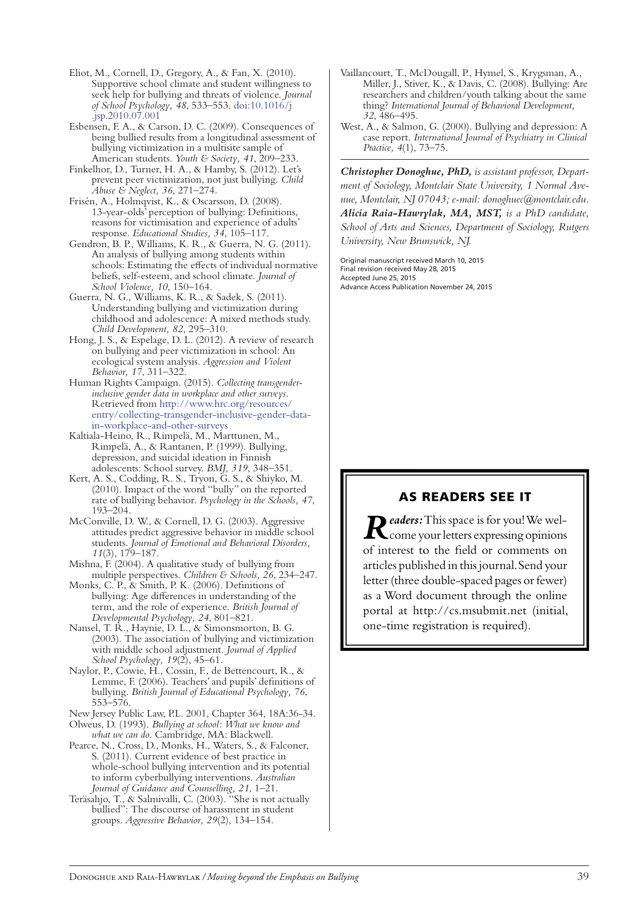Eliot, M., Cornell, D., Gregory, A., & Fan, X. (2010). Supportive school climate and student willingness to seek help for bullying and threats of violence. *Journal of School Psychology, 48*, 533–553. [doi:10.1016/j](http://dx.doi.org/10.1016/j.jsp.2010.07.001) [.jsp.2010.07.001](http://dx.doi.org/10.1016/j.jsp.2010.07.001)

Esbensen, F. A., & Carson, D. C. (2009). Consequences of being bullied results from a longitudinal assessment of bullying victimization in a multisite sample of American students. *Youth & Society, 41*, 209–233.

Finkelhor, D., Turner, H. A., & Hamby, S. (2012). Let's prevent peer victimization, not just bullying. *Child Abuse & Neglect, 36*, 271–274.

Frisén, A., Holmqvist, K., & Oscarsson, D. (2008). 13-year-olds' perception of bullying: Definitions, reasons for victimisation and experience of adults' response. *Educational Studies, 34*, 105–117.

Gendron, B. P., Williams, K. R., & Guerra, N. G. (2011). An analysis of bullying among students within schools: Estimating the effects of individual normative beliefs, self-esteem, and school climate. *Journal of School Violence, 10*, 150–164.

Guerra, N. G., Williams, K. R., & Sadek, S. (2011). Understanding bullying and victimization during childhood and adolescence: A mixed methods study. *Child Development, 82*, 295–310.

Hong, J. S., & Espelage, D. L. (2012). A review of research on bullying and peer victimization in school: An ecological system analysis. *Aggression and Violent Behavior, 17*, 311–322.

Human Rights Campaign. (2015). *Collecting transgenderinclusive gender data in workplace and other surveys*. Retrieved from [http://www.hrc.org/resources/](http://www.hrc.org/resources/entry/collecting-transgender-inclusive-gender-data-in-workplace-and-other-surveys) [entry/collecting-transgender-inclusive-gender-data](http://www.hrc.org/resources/entry/collecting-transgender-inclusive-gender-data-in-workplace-and-other-surveys)[in-workplace-and-other-surveys](http://www.hrc.org/resources/entry/collecting-transgender-inclusive-gender-data-in-workplace-and-other-surveys)

Kaltiala-Heino, R., Rimpelä, M., Marttunen, M., Rimpelä, A., & Rantanen, P. (1999). Bullying, depression, and suicidal ideation in Finnish adolescents: School survey. *BMJ, 319*, 348–351.

Kert, A. S., Codding, R. S., Tryon, G. S., & Shiyko, M. (2010). Impact of the word "bully" on the reported rate of bullying behavior. *Psychology in the Schools, 47*, 193–204.

McConville, D. W., & Cornell, D. G. (2003). Aggressive attitudes predict aggressive behavior in middle school students. *Journal of Emotional and Behavioral Disorders, 11*(3), 179–187.

Mishna, F. (2004). A qualitative study of bullying from multiple perspectives. *Children & Schools, 26*, 234–247.

Monks, C. P., & Smith, P. K. (2006). Definitions of bullying: Age differences in understanding of the term, and the role of experience. *British Journal of Developmental Psychology, 24*, 801–821.

Nansel, T. R., Haynie, D. L., & Simonsmorton, B. G. (2003). The association of bullying and victimization with middle school adjustment. *Journal of Applied School Psychology, 19*(2), 45–61.

Naylor, P., Cowie, H., Cossin, F., de Bettencourt, R., & Lemme, F. (2006). Teachers' and pupils' definitions of bullying. *British Journal of Educational Psychology, 76*, 553–576.

New Jersey Public Law, P.L. 2001, Chapter 364, 18A:36-34. Olweus, D. (1993). *Bullying at school: What we know and* 

*what we can do*. Cambridge, MA: Blackwell. Pearce, N., Cross, D., Monks, H., Waters, S., & Falconer, S. (2011). Current evidence of best practice in whole-school bullying intervention and its potential

to inform cyberbullying interventions. *Australian Journal of Guidance and Counselling, 21*, 1–21.

Teräsahjo, T., & Salmivalli, C. (2003). "She is not actually bullied": The discourse of harassment in student groups. *Aggressive Behavior, 29*(2), 134–154.

- Vaillancourt, T., McDougall, P., Hymel, S., Krygsman, A., Miller, J., Stiver, K., & Davis, C. (2008). Bullying: Are researchers and children/youth talking about the same thing? *International Journal of Behavioral Development, 32*, 486–495.
- West, A., & Salmon, G. (2000). Bullying and depression: A case report. *International Journal of Psychiatry in Clinical Practice, 4*(1), 73–75.

*Christopher Donoghue, PhD, is assistant professor, Department of Sociology, Montclair State University, 1 Normal Avenue, Montclair, NJ 07043; e-mail: donoghuec@montclair.edu.* 

*Alicia Raia-Hawrylak, MA, MST, is a PhD candidate, School of Arts and Sciences, Department of Sociology, Rutgers University, New Brunswick, NJ.*

Original manuscript received March 10, 2015 Final revision received May 28, 2015 Accepted June 25, 2015 Advance Access Publication November 24, 2015

# **AS READERS SEE IT**

Readers: This space is for you! We wel-<br>Recome your letters expressing opinions of interest to the field or comments on articles published in this journal. Send your letter (three double-spaced pages or fewer) as a Word document through the online portal at http://cs.msubmit.net (initial, one-time registration is required).